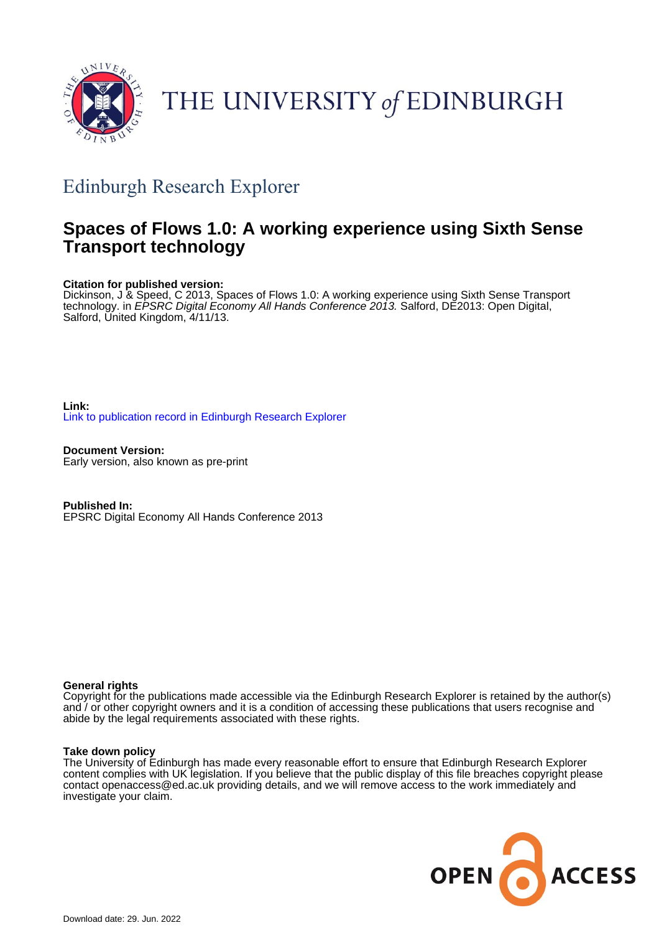

# THE UNIVERSITY of EDINBURGH

# Edinburgh Research Explorer

# **Spaces of Flows 1.0: A working experience using Sixth Sense Transport technology**

#### **Citation for published version:**

Dickinson, J & Speed, C 2013, Spaces of Flows 1.0: A working experience using Sixth Sense Transport technology. in *EPSRC Digital Economy All Hands Conference 2013.* Salford, DE2013: Open Digital, Salford, United Kingdom, 4/11/13.

**Link:** [Link to publication record in Edinburgh Research Explorer](https://www.research.ed.ac.uk/en/publications/290064b2-586d-4493-84eb-d9c56274805b)

**Document Version:** Early version, also known as pre-print

**Published In:** EPSRC Digital Economy All Hands Conference 2013

#### **General rights**

Copyright for the publications made accessible via the Edinburgh Research Explorer is retained by the author(s) and / or other copyright owners and it is a condition of accessing these publications that users recognise and abide by the legal requirements associated with these rights.

#### **Take down policy**

The University of Edinburgh has made every reasonable effort to ensure that Edinburgh Research Explorer content complies with UK legislation. If you believe that the public display of this file breaches copyright please contact openaccess@ed.ac.uk providing details, and we will remove access to the work immediately and investigate your claim.

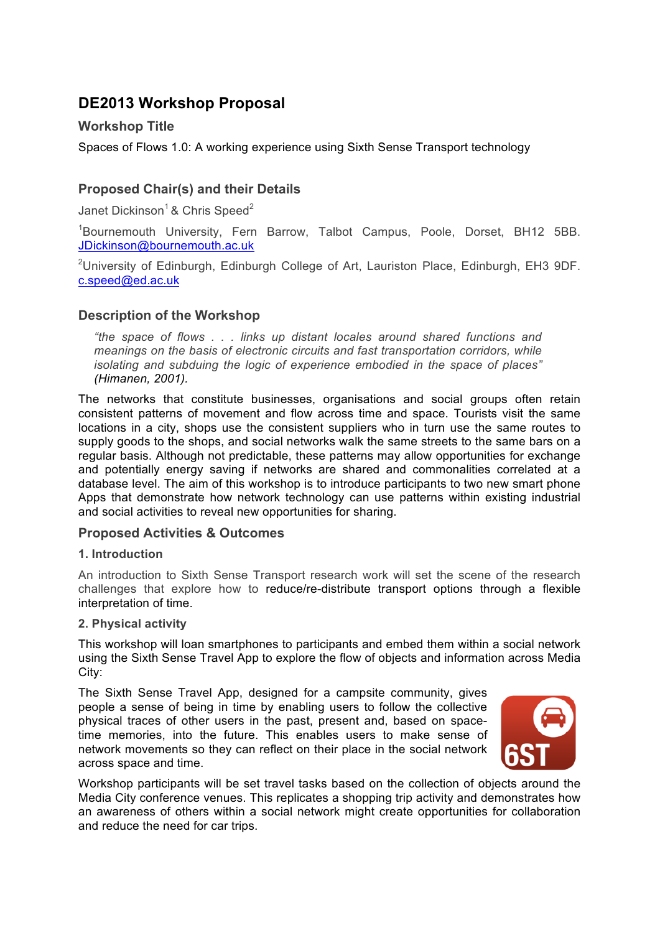# **DE2013 Workshop Proposal**

# **Workshop Title**

Spaces of Flows 1.0: A working experience using Sixth Sense Transport technology

# **Proposed Chair(s) and their Details**

Janet Dickinson<sup>1</sup> & Chris Speed<sup>2</sup>

<sup>1</sup>Bournemouth University, Fern Barrow, Talbot Campus, Poole, Dorset, BH12 5BB. JDickinson@bournemouth.ac.uk

<sup>2</sup>University of Edinburgh, Edinburgh College of Art, Lauriston Place, Edinburgh, EH3 9DF. c.speed@ed.ac.uk

# **Description of the Workshop**

*"the space of flows . . . links up distant locales around shared functions and meanings on the basis of electronic circuits and fast transportation corridors, while isolating and subduing the logic of experience embodied in the space of places" (Himanen, 2001).*

The networks that constitute businesses, organisations and social groups often retain consistent patterns of movement and flow across time and space. Tourists visit the same locations in a city, shops use the consistent suppliers who in turn use the same routes to supply goods to the shops, and social networks walk the same streets to the same bars on a regular basis. Although not predictable, these patterns may allow opportunities for exchange and potentially energy saving if networks are shared and commonalities correlated at a database level. The aim of this workshop is to introduce participants to two new smart phone Apps that demonstrate how network technology can use patterns within existing industrial and social activities to reveal new opportunities for sharing.

# **Proposed Activities & Outcomes**

## **1. Introduction**

An introduction to Sixth Sense Transport research work will set the scene of the research challenges that explore how to reduce/re-distribute transport options through a flexible interpretation of time.

#### **2. Physical activity**

This workshop will loan smartphones to participants and embed them within a social network using the Sixth Sense Travel App to explore the flow of objects and information across Media City:

The Sixth Sense Travel App, designed for a campsite community, gives people a sense of being in time by enabling users to follow the collective physical traces of other users in the past, present and, based on spacetime memories, into the future. This enables users to make sense of network movements so they can reflect on their place in the social network across space and time.



Workshop participants will be set travel tasks based on the collection of objects around the Media City conference venues. This replicates a shopping trip activity and demonstrates how an awareness of others within a social network might create opportunities for collaboration and reduce the need for car trips.